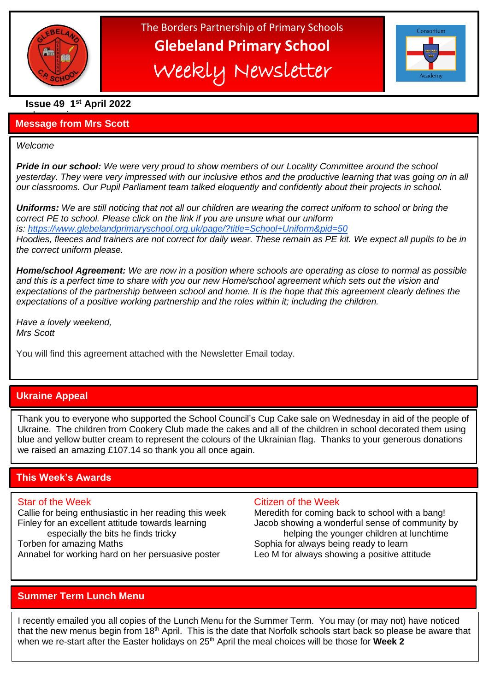

# The Borders Partnership of Primary Schools **Glebeland Primary School** Weekly Newsletter



# **Issue 49 1 st April 2022**

#### a bumper issues in the second second in the second second second in the second second second in the second second second second second second second second second second second second second second second second second sec **Message from Mrs Scott**

#### *Welcome*

l

*Pride in our school: We were very proud to show members of our Locality Committee around the school yesterday. They were very impressed with our inclusive ethos and the productive learning that was going on in all our classrooms. Our Pupil Parliament team talked eloquently and confidently about their projects in school.*

*Uniforms: We are still noticing that not all our children are wearing the correct uniform to school or bring the correct PE to school. Please click on the link if you are unsure what our uniform is: <https://www.glebelandprimaryschool.org.uk/page/?title=School+Uniform&pid=50> Hoodies, fleeces and trainers are not correct for daily wear. These remain as PE kit. We expect all pupils to be in the correct uniform please.*

*Home/school Agreement: We are now in a position where schools are operating as close to normal as possible and this is a perfect time to share with you our new Home/school agreement which sets out the vision and expectations of the partnership between school and home. It is the hope that this agreement clearly defines the expectations of a positive working partnership and the roles within it; including the children.*

*Have a lovely weekend, Mrs Scott*

You will find this agreement attached with the Newsletter Email today.

# **Ukraine Appeal**

Thank you to everyone who supported the School Council's Cup Cake sale on Wednesday in aid of the people of Ukraine. The children from Cookery Club made the cakes and all of the children in school decorated them using blue and yellow butter cream to represent the colours of the Ukrainian flag. Thanks to your generous donations we raised an amazing £107.14 so thank you all once again.

### **This Week's Awards**

Finley for an excellent attitude towards learning Jacob showing a wonderful sense of community by

Annabel for working hard on her persuasive poster Leo M for always showing a positive attitude

#### Star of the Week Citizen of the Week

Callie for being enthusiastic in her reading this week Meredith for coming back to school with a bang! especially the bits he finds tricky helping the younger children at lunchtime Torben for amazing Maths Torben for always being ready to learn

# **Summer Term Lunch Menu**

I recently emailed you all copies of the Lunch Menu for the Summer Term. You may (or may not) have noticed that the new menus begin from 18<sup>th</sup> April. This is the date that Norfolk schools start back so please be aware that when we re-start after the Easter holidays on 25<sup>th</sup> April the meal choices will be those for Week 2